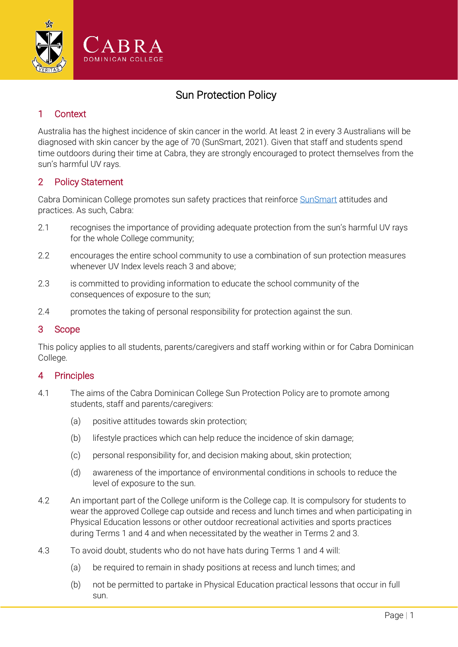

# Sun Protection Policy

## 1 Context

Australia has the highest incidence of skin cancer in the world. At least 2 in every 3 Australians will be diagnosed with skin cancer by the age of 70 (SunSmart, 2021). Given that staff and students spend time outdoors during their time at Cabra, they are strongly encouraged to protect themselves from the sun's harmful UV rays.

### 2 Policy Statement

Cabra Dominican College promotes sun safety practices that reinforce [SunSmart](https://www.sunsmart.com.au/) attitudes and practices. As such, Cabra:

- 2.1 recognises the importance of providing adequate protection from the sun's harmful UV rays for the whole College community;
- 2.2 encourages the entire school community to use a combination of sun protection measures whenever UV Index levels reach 3 and above;
- 2.3 is committed to providing information to educate the school community of the consequences of exposure to the sun;
- 2.4 promotes the taking of personal responsibility for protection against the sun.

#### 3 Scope

This policy applies to all students, parents/caregivers and staff working within or for Cabra Dominican College.

#### 4 Principles

- 4.1 The aims of the Cabra Dominican College Sun Protection Policy are to promote among students, staff and parents/caregivers:
	- (a) positive attitudes towards skin protection;
	- (b) lifestyle practices which can help reduce the incidence of skin damage;
	- (c) personal responsibility for, and decision making about, skin protection;
	- (d) awareness of the importance of environmental conditions in schools to reduce the level of exposure to the sun.
- 4.2 An important part of the College uniform is the College cap. It is compulsory for students to wear the approved College cap outside and recess and lunch times and when participating in Physical Education lessons or other outdoor recreational activities and sports practices during Terms 1 and 4 and when necessitated by the weather in Terms 2 and 3.
- 4.3 To avoid doubt, students who do not have hats during Terms 1 and 4 will:
	- (a) be required to remain in shady positions at recess and lunch times; and
	- (b) not be permitted to partake in Physical Education practical lessons that occur in full sun.